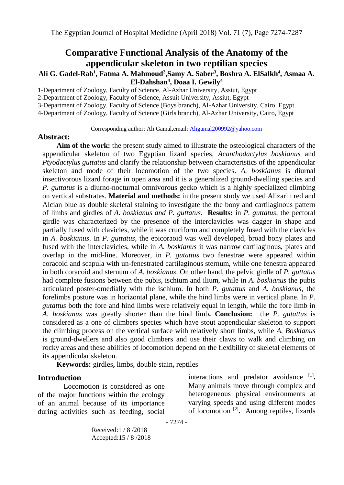# **Comparative Functional Analysis of the Anatomy of the appendicular skeleton in two reptilian species**

## **Ali G. Gadel-Rab<sup>1</sup> , Fatma A. Mahmoud<sup>2</sup> ,Samy A. Saber<sup>3</sup> , Boshra A. ElSalkh<sup>4</sup> , Asmaa A. El-Dahshan<sup>4</sup> , Doaa I. Gewily<sup>4</sup>**

1-Department of Zoology, Faculty of Science, Al-Azhar University, Assiut, Egypt

2-Department of Zoology, Faculty of Science, Assuit University, Assiut, Egypt

3-Department of Zoology, Faculty of Science (Boys branch), Al-Azhar University, Cairo, Egypt

4-Department of Zoology, Faculty of Science (Girls branch), Al-Azhar University, Cairo, Egypt

Corresponding author: Ali Gamal,email: [Aligamal200992@yahoo.com](mailto:Aligamal200992@yahoo.com)

#### **Abstract:**

**Aim of the work:** the present study aimed to illustrate the osteological characters of the appendicular skeleton of two Egyptian lizard species, *Acanthodactylus boskianus* and *Ptyodactylus guttatus* and clarify the relationship between characteristics of the appendicular skeleton and mode of their locomotion of the two species. *A. boskianus* is diurnal insectivorous lizard forage in open area and it is a generalized ground-dwelling species and *P. guttatus* is a diurno-nocturnal omnivorous gecko which is a highly specialized climbing on vertical substrates. **Material and methods:** in the present study we used Alizarin red and Alcian blue as double skeletal staining to investigate the the bony and cartilaginous pattern of limbs and girdles of *A. boskianus and P. guttatus.* **Results:** in *P. guttatus*, the pectoral girdle was characterized by the presence of the interclavicles was dagger in shape and partially fused with clavicles, while it was cruciform and completely fused with the clavicles in *A. boskianus*. In *P. guttatus,* the epicoraoid was well developed, broad bony plates and fused with the interclavicles, while in *A. boskianus* it was narrow cartilaginous, plates and overlap in the mid-line. Moreover, in *P. gutattus* two fenestrae were appeared within coracoid and scapula with un-fenestrated cartilaginous sternum, while one fenestra appeared in both coracoid and sternum of *A. boskianus*. On other hand, the pelvic girdle of *P. guttatus* had complete fusions between the pubis, ischium and ilium, while in *A. boskianus* the pubis articulated poster-omedially with the ischium. In both *P. gutattus* and *A. boskianus*, the forelimbs posture was in horizontal plane, while the hind limbs were in vertical plane. In *P. gutattus* both the fore and hind limbs were relatively equal in length, while the fore limb in *A. boskianus* was greatly shorter than the hind limb**. Conclusion:** the *P. gutattus* is considered as a one of climbers species which have stout appendicular skeleton to support the climbing process on the vertical surface with relatively short limbs, while *A. Boskianus* is ground-dwellers and also good climbers and use their claws to walk and climbing on rocky areas and these abilities of locomotion depend on the flexibility of skeletal elements of its appendicular skeleton.

**Keywords:** girdles**,** limbs, double stain**,** reptiles

### **Introduction**

Locomotion is considered as one of the major functions within the ecology of an animal because of its importance during activities such as feeding, social

interactions and predator avoidance [1]. Many animals move through complex and heterogeneous physical environments at varying speeds and using different modes of locomotion [2] **.** Among reptiles, lizards

- 7274 -

Received:1 / 8 /2018 Accepted:15 / 8 /2018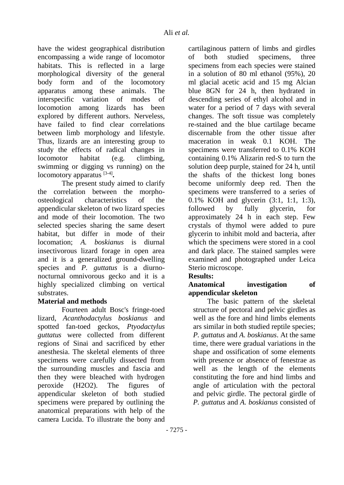have the widest geographical distribution encompassing a wide range of locomotor habitats. This is reflected in a large morphological diversity of the general body form and of the locomotory apparatus among these animals. The interspecific variation of modes of locomotion among lizards has been explored by different authors. Nerveless, have failed to find clear correlations between limb morphology and lifestyle. Thus, lizards are an interesting group to study the effects of radical changes in locomotor habitat (e.g. climbing, swimming or digging vs running) on the locomotory apparatus [3-4] **.**

The present study aimed to clarify the correlation between the morphoosteological characteristics of the appendicular skeleton of two lizard species and mode of their locomotion. The two selected species sharing the same desert habitat, but differ in mode of their locomation; *A. boskianus* is diurnal insectivorous lizard forage in open area and it is a generalized ground-dwelling species and *P. guttatus* is a diurnonocturnal omnivorous gecko and it is a highly specialized climbing on vertical substrates.

## **Material and methods**

Fourteen adult Bosc's fringe-toed lizard, *Acanthodactylus boskianus* and spotted fan-toed geckos, *Ptyodactylus guttatus* were collected from different regions of Sinai and sacrificed by ether anesthesia. The skeletal elements of three specimens were carefully dissected from the surrounding muscles and fascia and then they were bleached with hydrogen peroxide (H2O2). The figures of appendicular skeleton of both studied specimens were prepared by outlining the anatomical preparations with help of the camera Lucida. To illustrate the bony and cartilaginous pattern of limbs and girdles of both studied specimens, three specimens from each species were stained in a solution of 80 ml ethanol (95%), 20 ml glacial acetic acid and 15 mg Alcian blue 8GN for 24 h, then hydrated in descending series of ethyl alcohol and in water for a period of 7 days with several changes. The soft tissue was completely re-stained and the blue cartilage became discernable from the other tissue after maceration in weak 0.1 KOH. The specimens were transferred to 0.1% KOH containing 0.1% Alizarin red-S to turn the solution deep purple, stained for 24 h, until the shafts of the thickest long bones become uniformly deep red. Then the specimens were transferred to a series of 0.1% KOH and glycerin (3:1, 1:1, 1:3), followed by fully glycerin, for approximately 24 h in each step. Few crystals of thymol were added to pure glycerin to inhibit mold and bacteria, after which the specimens were stored in a cool and dark place. The stained samples were examined and photographed under Leica Sterio microscope.

## **Results:**

## **Anatomical investigation of appendicular skeleton**

The basic pattern of the skeletal structure of pectoral and pelvic girdles as well as the fore and hind limbs elements ars similar in both studied reptile species; *P. guttatus* and *A. boskianus*. At the same time, there were gradual variations in the shape and ossification of some elements with presence or absence of fenestrae as well as the length of the elements constituting the fore and hind limbs and angle of articulation with the pectoral and pelvic girdle. The pectoral girdle of *P. guttatus* and *A. boskianus* consisted of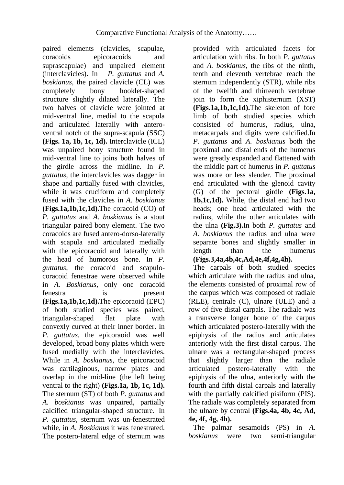paired elements (clavicles, scapulae, coracoids epicoracoids and suprascapulae) and unpaired element (interclavicles). In *P. guttatus* and *A. boskianus*, the paired clavicle (CL) was completely bony hooklet-shaped structure slightly dilated laterally. The two halves of clavicle were jointed at mid-ventral line, medial to the scapula and articulated laterally with anteroventral notch of the supra-scapula (SSC) **(Figs. 1a, 1b, 1c, 1d).** Interclavicle (ICL) was unpaired bony structure found in mid-ventral line to joins both halves of the girdle across the midline. In *P. guttatus*, the interclavicles was dagger in shape and partially fused with clavicles, while it was cruciform and completely fused with the clavicles in *A. boskianus* **(Figs.1a,1b,1c,1d).**The coracoid (CO) of *P. guttatus* and *A. boskianus* is a stout triangular paired bony element. The two coracoids are fused antero-dorso-laterally with scapula and articulated medially with the epicoracoid and laterally with the head of humorous bone. In *P. guttatus*, the coracoid and scapulocoracoid fenestrae were observed while in *A. Boskianus*, only one coracoid fenestra is present **(Figs.1a,1b,1c,1d).**The epicoraoid (EPC) of both studied species was paired, triangular-shaped flat plate with convexly curved at their inner border. In *P. guttatus,* the epicoraoid was well developed, broad bony plates which were fused medially with the interclavicles. While in *A. boskianus,* the epicoracoid was cartilaginous, narrow plates and overlap in the mid-line (the left being ventral to the right) **(Figs.1a, 1b, 1c, 1d).** The sternum (ST) of both *P. guttatus* and *A. boskianus* was unpaired, partially calcified triangular-shaped structure. In *P. guttatus*, sternum was un-fenestrated while, in *A. Boskianus* it was fenestrated. The postero-lateral edge of sternum was

provided with articulated facets for articulation with ribs. In both *P. guttatus* and *A. boskianus*, the ribs of the ninth, tenth and eleventh vertebrae reach the sternum independently (STR), while ribs of the twelfth and thirteenth vertebrae join to form the xiphisternum (XST) **(Figs.1a,1b,1c,1d).**The skeleton of fore limb of both studied species which consisted of humerus, radius, ulna, metacarpals and digits were calcified.In *P. guttatus* and *A. boskianus* both the proximal and distal ends of the humerus were greatly expanded and flattened with the middle part of humerus in *P. guttatus* was more or less slender. The proximal end articulated with the glenoid cavity (G) of the pectoral girdle **(Figs.1a, 1b,1c,1d).** While, the distal end had two heads; one head articulated with the radius, while the other articulates with the ulna **(Fig.3).**In both *P. guttatus* and *A. boskianus* the radius and ulna were separate bones and slightly smaller in length than the humerus **(Figs.3,4a,4b,4c,Ad,4e,4f,4g,4h).**

The carpals of both studied species which articulate with the radius and ulna. the elements consisted of proximal row of the carpus which was composed of radiale (RLE), centrale (C), ulnare (ULE) and a row of five distal carpals. The radiale was a transverse longer bone of the carpus which articulated postero-laterally with the epiphysis of the radius and articulates anteriorly with the first distal carpus. The ulnare was a rectangular-shaped process that slightly larger than the radiale articulated postero-laterally with the epiphysis of the ulna, anteriorly with the fourth and fifth distal carpals and laterally with the partially calcified pisiform (PIS). The radiale was completely separated from the ulnare by central **(Figs.4a, 4b, 4c, Ad, 4e, 4f, 4g, 4h).**

The palmar sesamoids (PS) in *A. boskianus* were two semi-triangular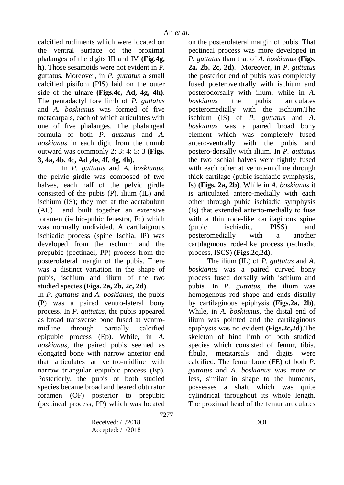calcified rudiments which were located on the ventral surface of the proximal phalanges of the digits III and IV **(Fig.4g, h)**. Those sesamoids were not evident in P. guttatus. Moreover, in *P. guttatus* a small calcified pisifom (PIS) laid on the outer side of the ulnare **(Figs.4c, Ad, 4g, 4h)**. The pentadactyl fore limb of *P. guttatus* and *A. boskianus* was formed of five metacarpals, each of which articulates with one of five phalanges. The phalangeal formula of both *P. guttatus* and *A. boskianus* in each digit from the thumb outward was commonly 2: 3: 4: 5: 3 **(Figs. 3, 4a, 4b, 4c, Ad ,4e, 4f, 4g, 4h).**

In *P. guttatus* and *A. boskianus*, the pelvic girdle was composed of two halves, each half of the pelvic girdle consisted of the pubis (P), ilium (IL) and ischium (IS); they met at the acetabulum (AC) and built together an extensive foramen (ischio-pubic fenestra, Fc) which was normally undivided. A cartilaignous ischiadic process (spine Ischia, IP) was developed from the ischium and the prepubic (pectinael, PP) process from the posterolateral margin of the pubis. There was a distinct variation in the shape of pubis, ischium and ilium of the two studied species **(Figs. 2a, 2b, 2c, 2d)**.

In *P. guttatus* and *A. boskianus*, the pubis (P) was a paired ventro-lateral bony process. In *P. guttatus*, the pubis appeared as broad transverse bone fused at ventromidline through partially calcified epipubic process (Ep). While, in *A. boskianus*, the paired pubis seemed as elongated bone with narrow anterior end that articulates at ventro-midline with narrow triangular epipubic process (Ep). Posteriorly, the pubis of both studied species became broad and beared obturator foramen (OF) posterior to prepubic (pectineal process, PP) which was located on the posterolateral margin of pubis. That pectineal process was more developed in *P. guttatus* than that of *A. boskianus* **(Figs. 2a, 2b, 2c, 2d)**. Moreover, in *P. guttatus* the posterior end of pubis was completely fused posteroventrally with ischium and posterodorsally with ilium, while in *A. boskianus* the pubis articulates posteromedially with the ischium.The ischium (IS) of *P. guttatus* and *A. boskianus* was a paired broad bony element which was completely fused antero-ventrally with the pubis and postero-dorsally with ilium. In *P. guttatus* the two ischial halves were tightly fused with each other at ventro-midline through thick cartilage (pubic ischiadic symphysis, Is) **(Figs. 2a, 2b)**. While in *A. boskianus* it is articulated antero-medially with each other through pubic ischiadic symphysis (Is) that extended anterio-medially to fuse with a thin rode-like cartilaginous spine (pubic ischiadic, PISS) and posteromedially with a another cartilaginous rode-like process (ischiadic process, ISCS) **(Figs.2c,2d)**.

The ilium (IL) of *P. guttatus* and *A. boskianus* was a paired curved bony process fused dorsally with ischium and pubis. In *P. guttatus*, the ilium was homogenous rod shape and ends distally by cartilaginous epiphysis **(Figs.2a, 2b)**. While, in *A. boskianus*, the distal end of ilium was pointed and the cartilaginous epiphysis was no evident **(Figs.2c,2d)**.The skeleton of hind limb of both studied species which consisted of femur, tibia, fibula, metatarsals and digits were calcified. The femur bone (FE) of both *P. guttatus* and *A. boskianus* was more or less, similar in shape to the humerus, possesses a shaft which was quite cylindrical throughout its whole length. The proximal head of the femur articulates

Received: / /2018 DOI Accepted: / /2018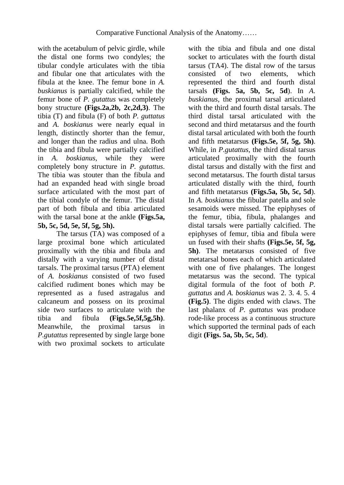with the acetabulum of pelvic girdle, while the distal one forms two condyles; the tibular condyle articulates with the tibia and fibular one that articulates with the fibula at the knee. The femur bone in *A. buskianus* is partially calcified, while the femur bone of *P. gutattus* was completely bony structure **(Figs.2a,2b, 2c,2d,3)**. The tibia (T) and fibula (F) of both *P. guttatus* and *A. boskianus* were nearly equal in length, distinctly shorter than the femur, and longer than the radius and ulna. Both the tibia and fibula were partially calcified in *A. boskianus,* while they were completely bony structure in *P. gutattus*. The tibia was stouter than the fibula and had an expanded head with single broad surface articulated with the most part of the tibial condyle of the femur. The distal part of both fibula and tibia articulated with the tarsal bone at the ankle **(Figs.5a, 5b, 5c, 5d, 5e, 5f, 5g, 5h).**

The tarsus (TA) was composed of a large proximal bone which articulated proximally with the tibia and fibula and distally with a varying number of distal tarsals. The proximal tarsus (PTA) element of *A. boskianus* consisted of two fused calcified rudiment bones which may be represented as a fused astragalus and calcaneum and possess on its proximal side two surfaces to articulate with the tibia and fibula **(Figs.5e,5f,5g,5h)**. Meanwhile, the proximal tarsus in *P.gutattus* represented by single large bone with two proximal sockets to articulate with the tibia and fibula and one distal socket to articulates with the fourth distal tarsus (TA4). The distal row of the tarsus consisted of two elements, which represented the third and fourth distal tarsals **(Figs. 5a, 5b, 5c, 5d**). In *A. buskianus,* the proximal tarsal articulated with the third and fourth distal tarsals. The third distal tarsal articulated with the second and third metatarsus and the fourth distal tarsal articulated with both the fourth and fifth metatarsus **(Figs.5e, 5f, 5g, 5h)**. While, in *P.gutattus,* the third distal tarsus articulated proximally with the fourth distal tarsus and distally with the first and second metatarsus. The fourth distal tarsus articulated distally with the third, fourth and fifth metatarsus **(Figs.5a, 5b, 5c, 5d**). In *A. boskianus* the fibular patella and sole sesamoids were missed. The epiphyses of the femur, tibia, fibula, phalanges and distal tarsals were partially calcified. The epiphyses of femur, tibia and fibula were un fused with their shafts **(Figs.5e, 5f, 5g, 5h)**. The metatarsus consisted of five metatarsal bones each of which articulated with one of five phalanges. The longest metatarsus was the second. The typical digital formula of the foot of both *P. guttatus* and *A. boskianus* was 2. 3. 4. 5. 4 **(Fig.5)**. The digits ended with claws. The last phalanx of *P. guttatus* was produce rode-like process as a continuous structure which supported the terminal pads of each digit **(Figs. 5a, 5b, 5c, 5d**).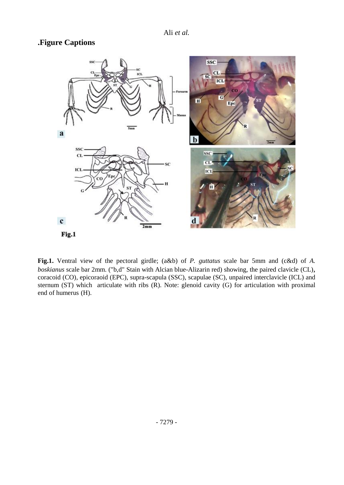# **.Figure Captions**



**Fig.1.** Ventral view of the pectoral girdle; (a&b) of *P. guttatus* scale bar 5mm and (c&d) of *A. boskianus* scale bar 2mm. ("b,d" Stain with Alcian blue-Alizarin red) showing, the paired clavicle (CL), coracoid (CO), epicoraoid (EPC), supra-scapula (SSC), scapulae (SC), unpaired interclavicle (ICL) and sternum (ST) which articulate with ribs (R). Note: glenoid cavity (G) for articulation with proximal end of humerus (H).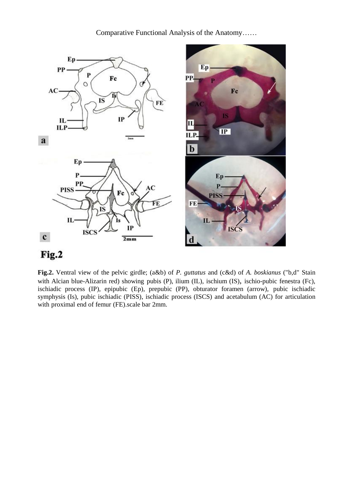Comparative Functional Analysis of the Anatomy……



# Fig.2

**Fig.2.** Ventral view of the pelvic girdle; (a&b) of *P. guttatus* and (c&d) of *A. boskianus* ("b,d" Stain with Alcian blue-Alizarin red) showing pubis (P), ilium (IL), ischium (IS), ischio-pubic fenestra (Fc), ischiadic process (IP), epipubic (Ep), prepubic (PP), obturator foramen (arrow), pubic ischiadic symphysis (Is), pubic ischiadic (PISS), ischiadic process (ISCS) and acetabulum (AC) for articulation with proximal end of femur (FE).scale bar 2mm.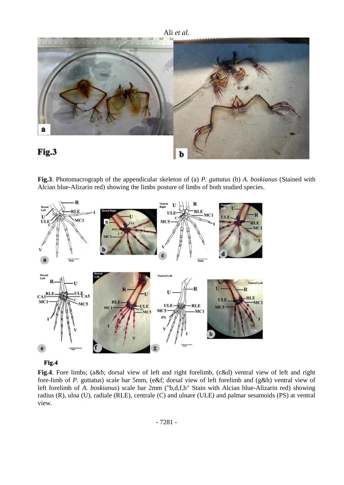

**Fig.3**. Photomacrograph of the appendicular skeleton of (a) *P. guttatus* (b) *A. boskianus* (Stained with Alcian blue-Alizarin red) showing the limbs posture of limbs of both studied species.





**Fig.4**. Fore limbs; (a&b; dorsal view of left and right forelimb, (c&d) ventral view of left and right fore-limb of *P.* guttatus) scale bar 5mm, (e&f; dorsal view of left forelimb and (g&h) ventral view of left forelimb of *A. boskianus*) scale bar 2mm ("b,d,f,h" Stain with Alcian blue-Alizarin red) showing radius (R), ulna (U), radiale (RLE), centrale (C) and ulnare (ULE) and palmar sesamoids (PS) at ventral view.

- 7281 -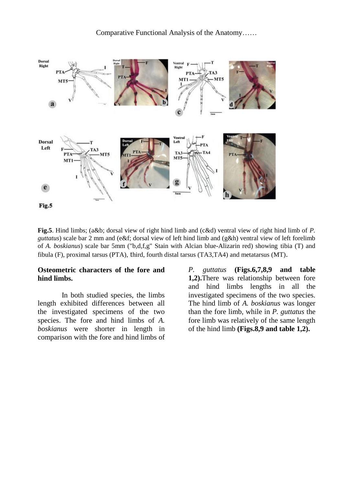

**Fig.5**. Hind limbs; (a&b; dorsal view of right hind limb and (c&d) ventral view of right hind limb of *P. guttatus*) scale bar 2 mm and (e&f; dorsal view of left hind limb and (g&h) ventral view of left forelimb of *A. boskianus*) scale bar 5mm ("b,d,f,g" Stain with Alcian blue-Alizarin red) showing tibia (T) and fibula (F), proximal tarsus (PTA), third, fourth distal tarsus (TA3,TA4) and metatarsus (MT).

#### **Osteometric characters of the fore and hind limbs.**

In both studied species, the limbs length exhibited differences between all the investigated specimens of the two species. The fore and hind limbs of *A. boskianus* were shorter in length in comparison with the fore and hind limbs of *P. guttatus* **(Figs.6,7,8,9 and table 1,2).**There was relationship between fore and hind limbs lengths in all the investigated specimens of the two species. The hind limb of *A. boskianus* was longer than the fore limb, while in *P. guttatus* the fore limb was relatively of the same length of the hind limb **(Figs.8,9 and table 1,2).**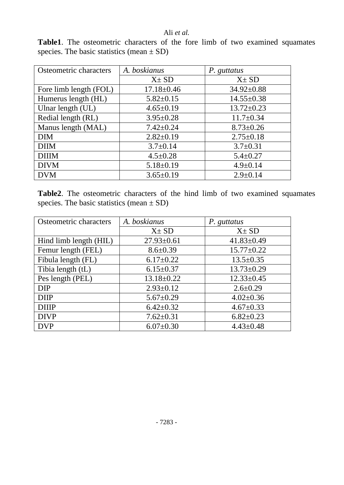## Ali *et al.*

**Table1**. The osteometric characters of the fore limb of two examined squamates species. The basic statistics (mean  $\pm$  SD)

| Osteometric characters | A. boskianus     | P. guttatus      |
|------------------------|------------------|------------------|
|                        | $X \pm SD$       | $X \pm SD$       |
| Fore limb length (FOL) | $17.18 \pm 0.46$ | $34.92 \pm 0.88$ |
| Humerus length (HL)    | $5.82 \pm 0.15$  | $14.55 \pm 0.38$ |
| Ulnar length (UL)      | $4.65 \pm 0.19$  | $13.72 \pm 0.23$ |
| Redial length (RL)     | $3.95 \pm 0.28$  | $11.7 \pm 0.34$  |
| Manus length (MAL)     | $7.42 \pm 0.24$  | $8.73 \pm 0.26$  |
| <b>DIM</b>             | $2.82 \pm 0.19$  | $2.75 \pm 0.18$  |
| <b>DIM</b>             | $3.7 \pm 0.14$   | $3.7 \pm 0.31$   |
| <b>DIIIM</b>           | $4.5 \pm 0.28$   | $5.4 \pm 0.27$   |
| <b>DIVM</b>            | $5.18 \pm 0.19$  | $4.9 \pm 0.14$   |
| <b>DVM</b>             | $3.65 \pm 0.19$  | $2.9 \pm 0.14$   |

**Table2**. The osteometric characters of the hind limb of two examined squamates species. The basic statistics (mean  $\pm$  SD)

| Osteometric characters | A. boskianus     | P. guttatus      |
|------------------------|------------------|------------------|
|                        | $X \pm SD$       | $X \pm SD$       |
| Hind limb length (HIL) | $27.93 \pm 0.61$ | $41.83 \pm 0.49$ |
| Femur length (FEL)     | $8.6 \pm 0.39$   | $15.77 \pm 0.22$ |
| Fibula length (FL)     | $6.17 \pm 0.22$  | $13.5 \pm 0.35$  |
| Tibia length (tL)      | $6.15 \pm 0.37$  | $13.73 \pm 0.29$ |
| Pes length (PEL)       | $13.18 \pm 0.22$ | $12.33 \pm 0.45$ |
| <b>DIP</b>             | $2.93 \pm 0.12$  | $2.6 \pm 0.29$   |
| <b>DIIP</b>            | $5.67 \pm 0.29$  | $4.02 \pm 0.36$  |
| <b>DIIP</b>            | $6.42 \pm 0.32$  | $4.67 \pm 0.33$  |
| <b>DIVP</b>            | $7.62 \pm 0.31$  | $6.82 \pm 0.23$  |
| <b>DVP</b>             | $6.07 \pm 0.30$  | $4.43 \pm 0.48$  |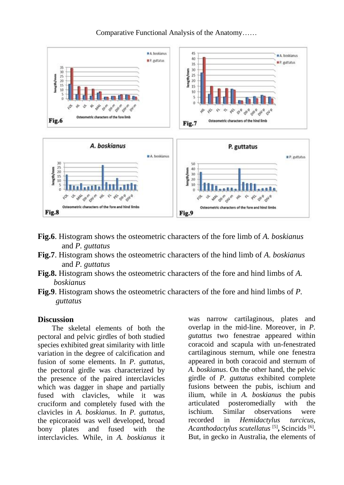

Comparative Functional Analysis of the Anatomy……

- **Fig.6**. Histogram shows the osteometric characters of the fore limb of *A. boskianus* and *P. guttatus*
- **Fig.7**. Histogram shows the osteometric characters of the hind limb of *A. boskianus* and *P. guttatus*
- **Fig.8.** Histogram shows the osteometric characters of the fore and hind limbs of *A. boskianus*
- **Fig.9**. Histogram shows the osteometric characters of the fore and hind limbs of *P. guttatus*

#### **Discussion**

The skeletal elements of both the pectoral and pelvic girdles of both studied species exhibited great similarity with little variation in the degree of calcification and fusion of some elements. In *P. guttatus*, the pectoral girdle was characterized by the presence of the paired interclavicles which was dagger in shape and partially fused with clavicles, while it was cruciform and completely fused with the clavicles in *A. boskianus*. In *P. guttatus,*  the epicoraoid was well developed, broad bony plates and fused with the interclavicles. While, in *A. boskianus* it was narrow cartilaginous, plates and overlap in the mid-line. Moreover, in *P. gutattus* two fenestrae appeared within coracoid and scapula with un-fenestrated cartilaginous sternum, while one fenestra appeared in both coracoid and sternum of *A. boskianus*. On the other hand, the pelvic girdle of *P. guttatus* exhibited complete fusions between the pubis, ischium and ilium, while in *A. boskianus* the pubis articulated posteromedially with the ischium. Similar observations were recorded in *Hemidactylus turcicus*, *Acanthodactylus scutellatus* [5] **,** Scincids [6] **.** But, in gecko in Australia, the elements of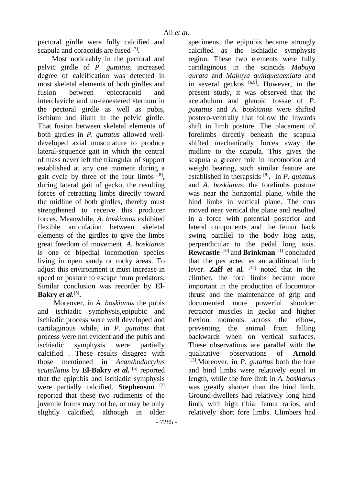pectoral girdle were fully calcified and scapula and coracoids are fused <sup>[7]</sup>.

Most noticeably in the pectoral and pelvic girdle of *P. guttatus*, increased degree of calcification was detected in most skeletal elements of both girdles and fusion between epicoracoid and interclavicle and un-fenestered sternum in the pectoral girdle as well as pubis, ischium and ilium in the pelvic girdle. That fusion between skeletal elements of both girdles in *P. guttatus* allowed welldeveloped axial musculature to produce lateral-sequence gait in which the central of mass never left the triangular of support established at any one moment during a gait cycle by three of the four limbs [8], during lateral gait of gecko, the resulting forces of retracting limbs directly toward the midline of both girdles, thereby must strengthened to receive this producer forces. Meanwhile, *A. boskianus* exhibited flexible articulation between skeletal elements of the girdles to give the limbs great freedom of movement. *A. boskianus*  is one of bipedial locomotion species living in open sandy or rocky areas. To adjust this environment it must increase in speed or posture to escape from predators. Similar conclusion was recorder by **El-Bakry** *et al.*[5] **.**

Moreover, in *A. boskianus* the pubis and ischiadic symphysis,epipubic and ischiadic process were well developed and cartilaginous while, in *P. guttatus* that process were not evident and the pubis and ischiadic symphysis were partially calcified . These results disagree with those mentioned in *Acanthodactylus scutellatus* by **El-Bakry** *et al.* [5] reported that the epipubis and ischiadic symphysis were partially calcified. **Stephenson** [7] reported that these two rudiments of the juvenile forms may not be, or may be only slightly calcified, although in older specimens, the epipubis became strongly calcified as the ischiadic symphysis region. These two elements were fully cartilaginous in the scincids *Mabuya aurata* and *Mabuya quinquetaeniata* and in several geckos [6,9] **.** However, in the present study, it was observed that the acetabulum and glenoid fossae of *P. gutattus* and *A. boskianus* were shifted postero-ventrally that follow the inwards shift in limb posture. The placement of forelimbs directly beneath the scapula shifted mechanically forces away the midline to the scapula. This gives the scapula a greater role in locomotion and weight bearing, such similar feature are established in therapsids [8] **.** In *P. gutattus* and *A. boskianus*, the forelimbs posture was near the horizontal plane, while the hind limbs in vertical plane. The crus moved near vertical the plane and resulted in a force with potential posterior and lateral components and the femur back swing parallel to the body long axis, perpendicular to the pedal long axis. **Rewcastle** [10] and **Brinkman** 11] concluded that the pes acted as an additional limb lever. **Zaff** *et al.*  $[12]$  noted that in the climber, the fore limbs became more important in the production of locomotor thrust and the maintenance of grip and documented more powerful shoulder retractor muscles in gecko and higher flexion moments across the elbow, preventing the animal from falling backwards when on vertical surfaces. These observations are parallel with the qualitative observations of **Arnold** [13] .Moreover, in *P. gutattus* both the fore and hind limbs were relatively equal in length, while the fore limb in *A. boskianus* was greatly shorter than the hind limb. Ground-dwellers had relatively long hind limb, with high tibia: femur ratios, and relatively short fore limbs. Climbers had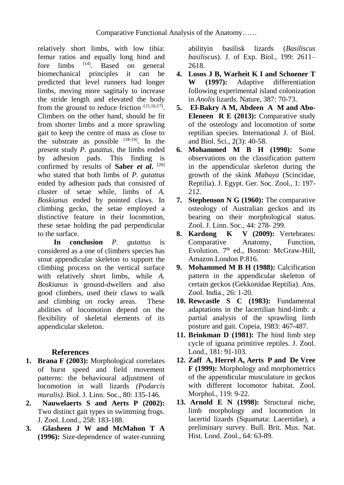relatively short limbs, with low tibia: femur ratios and equally long hind and<br>fore limbs [14]. Based on general fore limbs . Based on general biomechanical principles it can be predicted that level runners had longer limbs, moving more sagittaly to increase the stride length and elevated the body from the ground to reduce friction  $[15,16,17]$ . Climbers on the other hand, should be fit from shorter limbs and a more sprawling gait to keep the centre of mass as close to the substrate as possible  $[18-19]$ . In the present study *P. gutattus*, the limbs ended by adhesion pads. This finding is confirmed by results of **Saber** *et al***.** [20] who stated that both limbs of *P. gutattus*  ended by adhesion pads that consisted of cluster of setae while, limbs of *A. Boskianus* ended by pointed claws. In climbing gecko, the setae employed a distinctive feature in their locomotion, these setae holding the pad perpendicular to the surface.

**In conclusion** *P. gutattus* is considered as a one of climbers species has stout appendicular skeleton to support the climbing process on the vertical surface with relatively short limbs, while *A. Boskianus* is ground-dwellers and also good climbers, used their claws to walk and climbing on rocky areas. These abilities of locomotion depend on the flexibility of skeletal elements of its appendicular skeleton.

# **References**

- **1. Brana F (2003):** Morphological correlates of burst speed and field movement patterns: the behavioural adjustment of locomotion in wall lizards *(Podarcis muralis)*. Biol. J. Linn. Soc., 80: 135-146.
- **2. Nauwelaerts S and Aerts P (2002):**  Two distinct gait types in swimming frogs. J. Zool. Lond., 258: 183-188.
- **3. Glasheen J W and McMahon T A (1996):** Size-dependence of water-running

abilityin basilisk lizards (*Basiliscus basiliscus*). J. of Exp. Biol., 199: 2611– 2618.

- **4. Losos J B, Warheit K I and Schoener T W (1997):** Adaptive differentiation following experimental island colonization in *Anolis* lizards. Nature, 387: 70-73.
- **5. El-Bakry A M, Abdeen A M and Abo-Eleneen R E (2013):** Comparative study of the osteology and locomotion of some reptilian species. International J. of Biol. and Biol. Sci., 2(3): 40-58.
- **6. Mohammed M B H (1990):** Some observations on the classification pattern in the appendicular skeleton during the growth of the skink *Mabuya* (Scincidae, Reptilia). J. Egypt. Ger. Soc. Zool., 1: 197- 212.
- **7. Stephenson N G (1960):** The comparative osteology of Australian geckos and its bearing on their morphological status. Zool. J. Linn. Soc., 44: 278- 299.
- **8. Kardong K V (2009):** Vertebrates: Comparative Anatomy, Function, Evolution. 7<sup>th</sup> ed., Boston: McGraw-Hill, Amazon.London P.816.
- **9. Mohammed M B H (1988):** Calcification pattern in the appendicular skeleton of certain geckos (Gekkonidae Reptilia). Ans. Zool. India., 26: 1-20.
- **10. Rewcastle S C (1983):** Fundamental adaptations in the lacertilian hind-limb: a partial analysis of the sprawling limb posture and gait. Copeia, 1983: 467-487.
- **11. Brinkman D (1981):** The hind limb step cycle of iguana primitive reptiles. J. Zool. Lond., 181: 91-103.
- **12. Zaff A, Herrel A, Aerts P and De Vree F (1999):** Morphology and morphometrics of the appendicular musculature in geckos with different locomotor habitat. Zool. Morphol., 119: 9-22.
- **13. Arnold E N (1998):** Structural niche, limb morphology and locomotion in lacertid lizards (Squamata: Lacertidae), a preliminary survey. Bull. Brit. Mus. Nat. Hist. Lond. Zool., 64: 63-89.